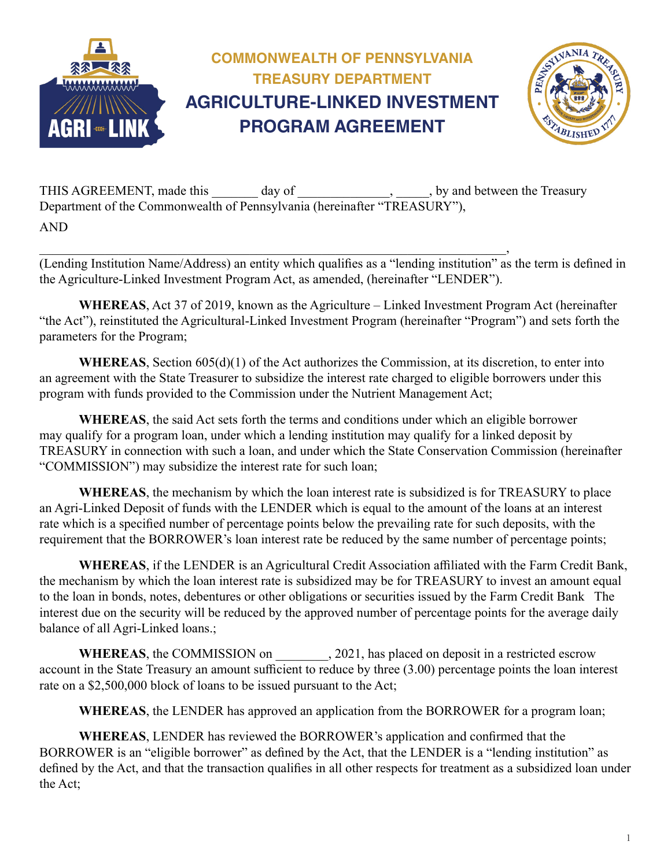

THIS AGREEMENT, made this \_\_\_\_\_\_ day of \_\_\_\_\_\_\_\_\_\_\_\_\_\_\_\_\_, by and between the Treasury Department of the Commonwealth of Pennsylvania (hereinafter "TREASURY"), AND

 $\overline{\phantom{a}}$  , and the contract of the contract of the contract of the contract of the contract of the contract of the contract of the contract of the contract of the contract of the contract of the contract of the contrac (Lending Institution Name/Address) an entity which qualifies as a "lending institution" as the term is defined in the Agriculture-Linked Investment Program Act, as amended, (hereinafter "LENDER").

**WHEREAS**, Act 37 of 2019, known as the Agriculture – Linked Investment Program Act (hereinafter "the Act"), reinstituted the Agricultural-Linked Investment Program (hereinafter "Program") and sets forth the parameters for the Program;

**WHEREAS**, Section 605(d)(1) of the Act authorizes the Commission, at its discretion, to enter into an agreement with the State Treasurer to subsidize the interest rate charged to eligible borrowers under this program with funds provided to the Commission under the Nutrient Management Act;

**WHEREAS**, the said Act sets forth the terms and conditions under which an eligible borrower may qualify for a program loan, under which a lending institution may qualify for a linked deposit by TREASURY in connection with such a loan, and under which the State Conservation Commission (hereinafter "COMMISSION") may subsidize the interest rate for such loan;

**WHEREAS**, the mechanism by which the loan interest rate is subsidized is for TREASURY to place an Agri-Linked Deposit of funds with the LENDER which is equal to the amount of the loans at an interest rate which is a specified number of percentage points below the prevailing rate for such deposits, with the requirement that the BORROWER's loan interest rate be reduced by the same number of percentage points;

**WHEREAS**, if the LENDER is an Agricultural Credit Association affiliated with the Farm Credit Bank, the mechanism by which the loan interest rate is subsidized may be for TREASURY to invest an amount equal to the loan in bonds, notes, debentures or other obligations or securities issued by the Farm Credit Bank The interest due on the security will be reduced by the approved number of percentage points for the average daily balance of all Agri-Linked loans.;

WHEREAS, the COMMISSION on  $, 2021$ , has placed on deposit in a restricted escrow account in the State Treasury an amount sufficient to reduce by three (3.00) percentage points the loan interest rate on a \$2,500,000 block of loans to be issued pursuant to the Act;

**WHEREAS**, the LENDER has approved an application from the BORROWER for a program loan;

**WHEREAS**, LENDER has reviewed the BORROWER's application and confirmed that the BORROWER is an "eligible borrower" as defined by the Act, that the LENDER is a "lending institution" as defined by the Act, and that the transaction qualifies in all other respects for treatment as a subsidized loan under the Act;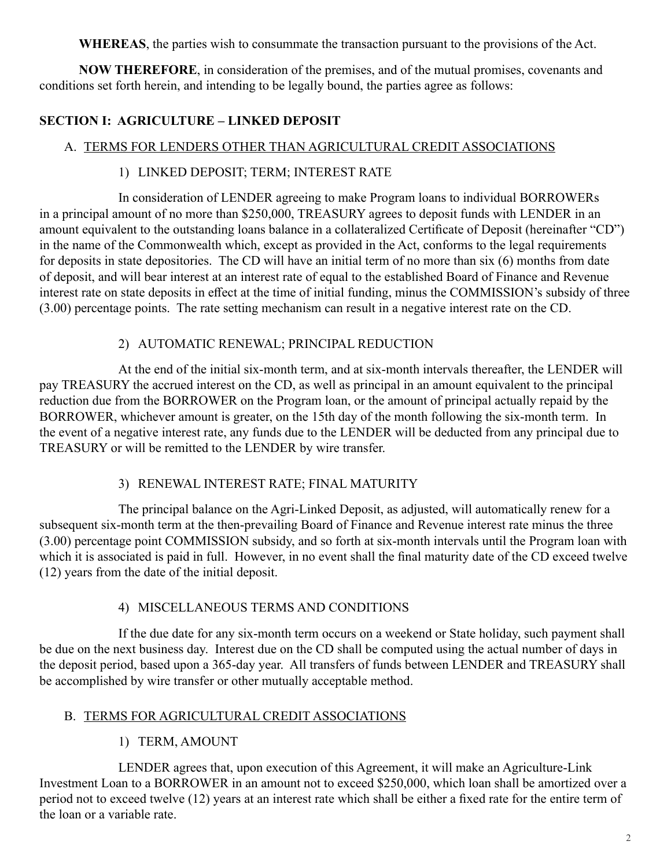**WHEREAS**, the parties wish to consummate the transaction pursuant to the provisions of the Act.

**NOW THEREFORE**, in consideration of the premises, and of the mutual promises, covenants and conditions set forth herein, and intending to be legally bound, the parties agree as follows:

### **SECTION I: AGRICULTURE – LINKED DEPOSIT**

#### A. TERMS FOR LENDERS OTHER THAN AGRICULTURAL CREDIT ASSOCIATIONS

### 1) LINKED DEPOSIT; TERM; INTEREST RATE

 In consideration of LENDER agreeing to make Program loans to individual BORROWERs in a principal amount of no more than \$250,000, TREASURY agrees to deposit funds with LENDER in an amount equivalent to the outstanding loans balance in a collateralized Certificate of Deposit (hereinafter "CD") in the name of the Commonwealth which, except as provided in the Act, conforms to the legal requirements for deposits in state depositories. The CD will have an initial term of no more than six (6) months from date of deposit, and will bear interest at an interest rate of equal to the established Board of Finance and Revenue interest rate on state deposits in effect at the time of initial funding, minus the COMMISSION's subsidy of three (3.00) percentage points. The rate setting mechanism can result in a negative interest rate on the CD.

#### 2) AUTOMATIC RENEWAL; PRINCIPAL REDUCTION

 At the end of the initial six-month term, and at six-month intervals thereafter, the LENDER will pay TREASURY the accrued interest on the CD, as well as principal in an amount equivalent to the principal reduction due from the BORROWER on the Program loan, or the amount of principal actually repaid by the BORROWER, whichever amount is greater, on the 15th day of the month following the six-month term. In the event of a negative interest rate, any funds due to the LENDER will be deducted from any principal due to TREASURY or will be remitted to the LENDER by wire transfer.

#### 3) RENEWAL INTEREST RATE; FINAL MATURITY

 The principal balance on the Agri-Linked Deposit, as adjusted, will automatically renew for a subsequent six-month term at the then-prevailing Board of Finance and Revenue interest rate minus the three (3.00) percentage point COMMISSION subsidy, and so forth at six-month intervals until the Program loan with which it is associated is paid in full. However, in no event shall the final maturity date of the CD exceed twelve (12) years from the date of the initial deposit.

#### 4) MISCELLANEOUS TERMS AND CONDITIONS

 If the due date for any six-month term occurs on a weekend or State holiday, such payment shall be due on the next business day. Interest due on the CD shall be computed using the actual number of days in the deposit period, based upon a 365-day year. All transfers of funds between LENDER and TREASURY shall be accomplished by wire transfer or other mutually acceptable method.

### B. TERMS FOR AGRICULTURAL CREDIT ASSOCIATIONS

1) TERM, AMOUNT

 LENDER agrees that, upon execution of this Agreement, it will make an Agriculture-Link Investment Loan to a BORROWER in an amount not to exceed \$250,000, which loan shall be amortized over a period not to exceed twelve (12) years at an interest rate which shall be either a fixed rate for the entire term of the loan or a variable rate.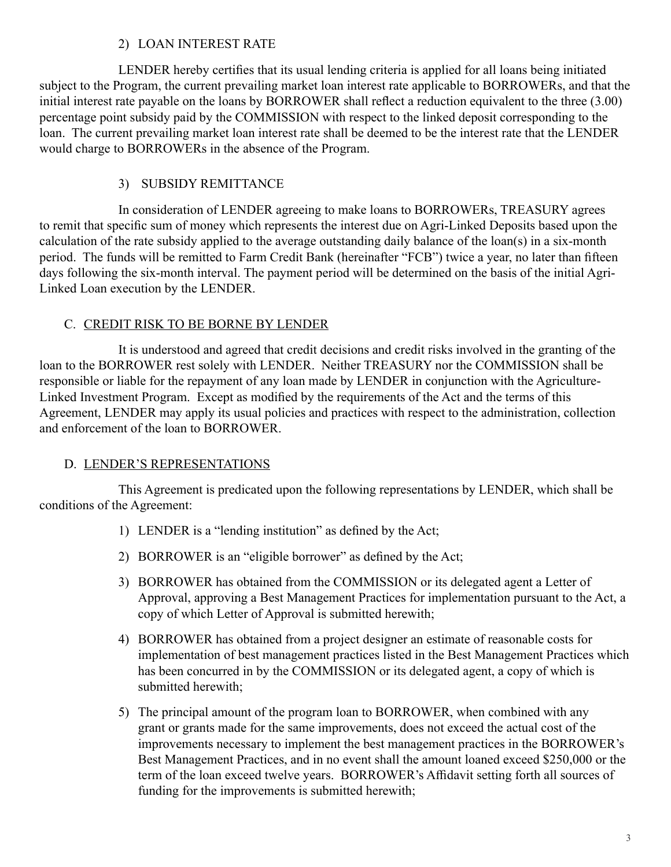#### 2) LOAN INTEREST RATE

LENDER hereby certifies that its usual lending criteria is applied for all loans being initiated subject to the Program, the current prevailing market loan interest rate applicable to BORROWERs, and that the initial interest rate payable on the loans by BORROWER shall reflect a reduction equivalent to the three (3.00) percentage point subsidy paid by the COMMISSION with respect to the linked deposit corresponding to the loan. The current prevailing market loan interest rate shall be deemed to be the interest rate that the LENDER would charge to BORROWERs in the absence of the Program.

## 3) SUBSIDY REMITTANCE

 In consideration of LENDER agreeing to make loans to BORROWERs, TREASURY agrees to remit that specific sum of money which represents the interest due on Agri-Linked Deposits based upon the calculation of the rate subsidy applied to the average outstanding daily balance of the loan(s) in a six-month period. The funds will be remitted to Farm Credit Bank (hereinafter "FCB") twice a year, no later than fifteen days following the six-month interval. The payment period will be determined on the basis of the initial Agri-Linked Loan execution by the LENDER.

#### C. CREDIT RISK TO BE BORNE BY LENDER

 It is understood and agreed that credit decisions and credit risks involved in the granting of the loan to the BORROWER rest solely with LENDER. Neither TREASURY nor the COMMISSION shall be responsible or liable for the repayment of any loan made by LENDER in conjunction with the Agriculture-Linked Investment Program. Except as modified by the requirements of the Act and the terms of this Agreement, LENDER may apply its usual policies and practices with respect to the administration, collection and enforcement of the loan to BORROWER.

### D. LENDER'S REPRESENTATIONS

 This Agreement is predicated upon the following representations by LENDER, which shall be conditions of the Agreement:

- 1) LENDER is a "lending institution" as defined by the Act;
- 2) BORROWER is an "eligible borrower" as defined by the Act;
- 3) BORROWER has obtained from the COMMISSION or its delegated agent a Letter of Approval, approving a Best Management Practices for implementation pursuant to the Act, a copy of which Letter of Approval is submitted herewith;
- 4) BORROWER has obtained from a project designer an estimate of reasonable costs for implementation of best management practices listed in the Best Management Practices which has been concurred in by the COMMISSION or its delegated agent, a copy of which is submitted herewith;
- 5) The principal amount of the program loan to BORROWER, when combined with any grant or grants made for the same improvements, does not exceed the actual cost of the improvements necessary to implement the best management practices in the BORROWER's Best Management Practices, and in no event shall the amount loaned exceed \$250,000 or the term of the loan exceed twelve years. BORROWER's Affidavit setting forth all sources of funding for the improvements is submitted herewith;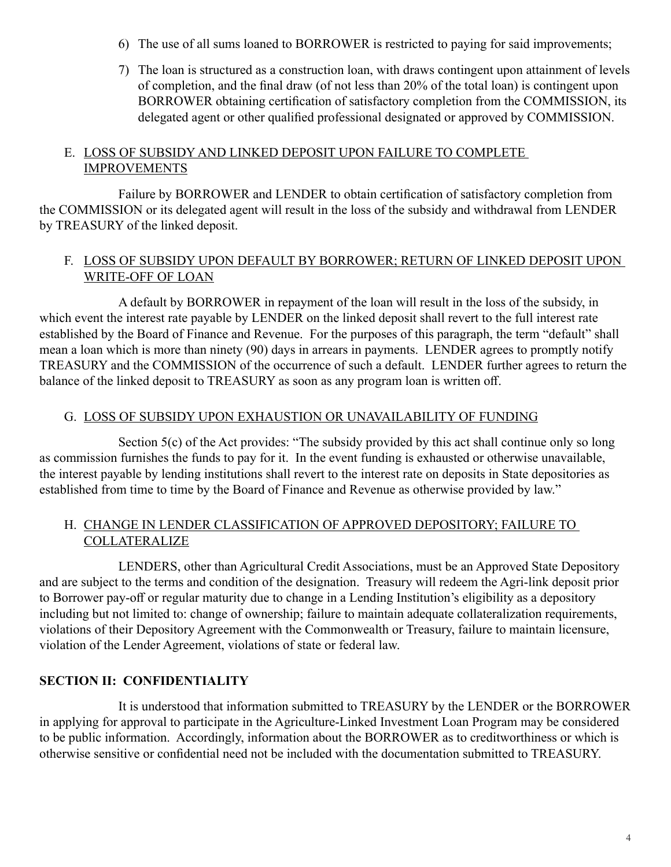- 6) The use of all sums loaned to BORROWER is restricted to paying for said improvements;
- 7) The loan is structured as a construction loan, with draws contingent upon attainment of levels of completion, and the final draw (of not less than 20% of the total loan) is contingent upon BORROWER obtaining certification of satisfactory completion from the COMMISSION, its delegated agent or other qualified professional designated or approved by COMMISSION.

#### E. LOSS OF SUBSIDY AND LINKED DEPOSIT UPON FAILURE TO COMPLETE IMPROVEMENTS

Failure by BORROWER and LENDER to obtain certification of satisfactory completion from the COMMISSION or its delegated agent will result in the loss of the subsidy and withdrawal from LENDER by TREASURY of the linked deposit.

#### F. LOSS OF SUBSIDY UPON DEFAULT BY BORROWER; RETURN OF LINKED DEPOSIT UPON WRITE-OFF OF LOAN

 A default by BORROWER in repayment of the loan will result in the loss of the subsidy, in which event the interest rate payable by LENDER on the linked deposit shall revert to the full interest rate established by the Board of Finance and Revenue. For the purposes of this paragraph, the term "default" shall mean a loan which is more than ninety (90) days in arrears in payments. LENDER agrees to promptly notify TREASURY and the COMMISSION of the occurrence of such a default. LENDER further agrees to return the balance of the linked deposit to TREASURY as soon as any program loan is written off.

#### G. LOSS OF SUBSIDY UPON EXHAUSTION OR UNAVAILABILITY OF FUNDING

 Section 5(c) of the Act provides: "The subsidy provided by this act shall continue only so long as commission furnishes the funds to pay for it. In the event funding is exhausted or otherwise unavailable, the interest payable by lending institutions shall revert to the interest rate on deposits in State depositories as established from time to time by the Board of Finance and Revenue as otherwise provided by law."

#### H. CHANGE IN LENDER CLASSIFICATION OF APPROVED DEPOSITORY; FAILURE TO **COLLATERALIZE**

 LENDERS, other than Agricultural Credit Associations, must be an Approved State Depository and are subject to the terms and condition of the designation. Treasury will redeem the Agri-link deposit prior to Borrower pay-off or regular maturity due to change in a Lending Institution's eligibility as a depository including but not limited to: change of ownership; failure to maintain adequate collateralization requirements, violations of their Depository Agreement with the Commonwealth or Treasury, failure to maintain licensure, violation of the Lender Agreement, violations of state or federal law.

### **SECTION II: CONFIDENTIALITY**

 It is understood that information submitted to TREASURY by the LENDER or the BORROWER in applying for approval to participate in the Agriculture-Linked Investment Loan Program may be considered to be public information. Accordingly, information about the BORROWER as to creditworthiness or which is otherwise sensitive or confidential need not be included with the documentation submitted to TREASURY.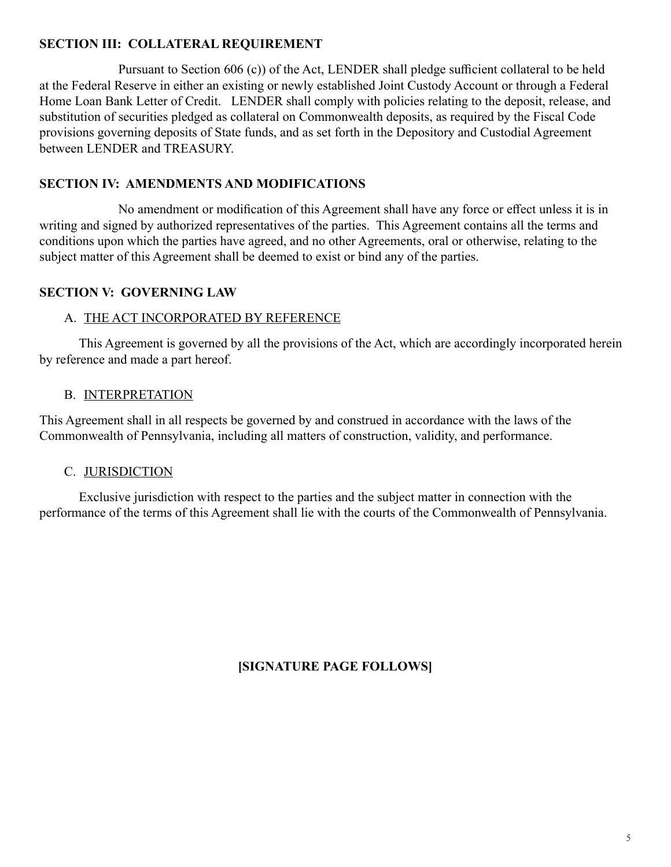## **SECTION III: COLLATERAL REQUIREMENT**

Pursuant to Section 606 (c)) of the Act, LENDER shall pledge sufficient collateral to be held at the Federal Reserve in either an existing or newly established Joint Custody Account or through a Federal Home Loan Bank Letter of Credit. LENDER shall comply with policies relating to the deposit, release, and substitution of securities pledged as collateral on Commonwealth deposits, as required by the Fiscal Code provisions governing deposits of State funds, and as set forth in the Depository and Custodial Agreement between LENDER and TREASURY.

# **SECTION IV: AMENDMENTS AND MODIFICATIONS**

No amendment or modification of this Agreement shall have any force or effect unless it is in writing and signed by authorized representatives of the parties. This Agreement contains all the terms and conditions upon which the parties have agreed, and no other Agreements, oral or otherwise, relating to the subject matter of this Agreement shall be deemed to exist or bind any of the parties.

## **SECTION V: GOVERNING LAW**

## A. THE ACT INCORPORATED BY REFERENCE

This Agreement is governed by all the provisions of the Act, which are accordingly incorporated herein by reference and made a part hereof.

## B. INTERPRETATION

This Agreement shall in all respects be governed by and construed in accordance with the laws of the Commonwealth of Pennsylvania, including all matters of construction, validity, and performance.

## C. JURISDICTION

Exclusive jurisdiction with respect to the parties and the subject matter in connection with the performance of the terms of this Agreement shall lie with the courts of the Commonwealth of Pennsylvania.

**[SIGNATURE PAGE FOLLOWS]**